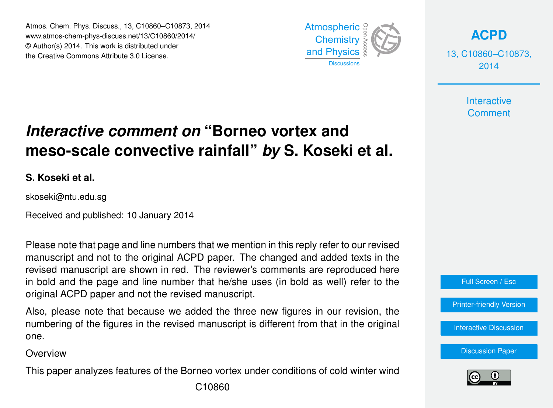Atmos. Chem. Phys. Discuss., 13, C10860–C10873, 2014 Atmospheric www.atmos-chem-phys-discuss.net/13/C10860/2014/<br>@ Author(a) 2014, This work is distributed under © Author(s) 2014. This work is distributed under the Creative Commons Attribute 3.0 License.  $14$ 



**[ACPD](http://www.atmos-chem-phys-discuss.net)**

13, C10860–C10873, 2014

> **Interactive Comment**

#### biogeosciences<br>L ،<br>آ .<br>و *Interactive comment on* "Borneo vortex and meso-scale convective rainfall" *by* S. Koseki et al.

**S. Koseki et al.**

skoseki@ntu.edu.sg

Received and published: 10 January 2014

Please note that page and line numbers that we mention in this reply refer to our revised n<br>.  $\frac{1}{2}$ manuscript and not to the original ACPD paper. The changed and added texts in the revised manuscript are shown in red. The reviewer's comments are reproduced here in bold and the page and line number that he/she uses (in bold as well) refer to the original ACPD paper and not the revised manuscript. h:<br>r e<br>.

Also, please note that because we added the three new figures in our revision, the Discussions Open Access Open Access numbering of the figures in the revised manuscript is different from that in the original<br>222 one.

**Overview** 

Hydrology and Hydrology and Open Access This paper analyzes features of the Borneo vortex under conditions of cold winter wind



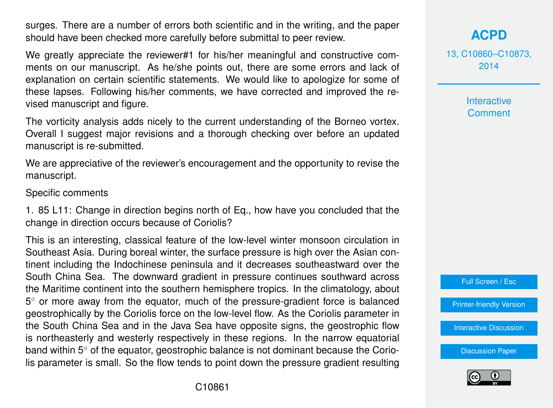surges. There are a number of errors both scientific and in the writing, and the paper should have been checked more carefully before submittal to peer review.

We greatly appreciate the reviewer#1 for his/her meaningful and constructive comments on our manuscript. As he/she points out, there are some errors and lack of explanation on certain scientific statements. We would like to apologize for some of these lapses. Following his/her comments, we have corrected and improved the revised manuscript and figure.

The vorticity analysis adds nicely to the current understanding of the Borneo vortex. Overall I suggest major revisions and a thorough checking over before an updated manuscript is re-submitted.

We are appreciative of the reviewer's encouragement and the opportunity to revise the manuscript.

Specific comments

1. 85 L11: Change in direction begins north of Eq., how have you concluded that the change in direction occurs because of Coriolis?

This is an interesting, classical feature of the low-level winter monsoon circulation in Southeast Asia. During boreal winter, the surface pressure is high over the Asian continent including the Indochinese peninsula and it decreases southeastward over the South China Sea. The downward gradient in pressure continues southward across the Maritime continent into the southern hemisphere tropics. In the climatology, about 5° or more away from the equator, much of the pressure-gradient force is balanced geostrophically by the Coriolis force on the low-level flow. As the Coriolis parameter in the South China Sea and in the Java Sea have opposite signs, the geostrophic flow is northeasterly and westerly respectively in these regions. In the narrow equatorial band within 5◦ of the equator, geostrophic balance is not dominant because the Coriolis parameter is small. So the flow tends to point down the pressure gradient resulting **[ACPD](http://www.atmos-chem-phys-discuss.net)**

13, C10860–C10873, 2014

> Interactive **Comment**

Full Screen / Esc

[Printer-friendly Version](http://www.atmos-chem-phys-discuss.net/13/C10860/2014/acpd-13-C10860-2014-print.pdf)

[Interactive Discussion](http://www.atmos-chem-phys-discuss.net/13/21079/2013/acpd-13-21079-2013-discussion.html)

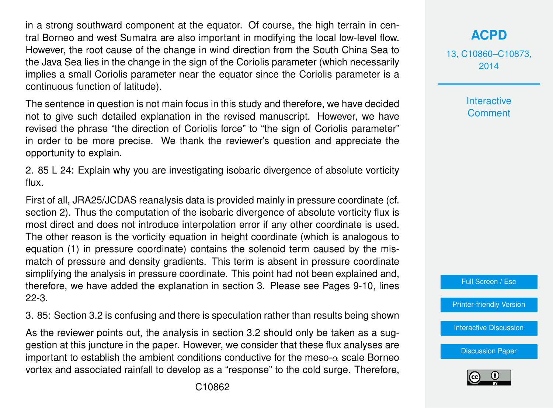in a strong southward component at the equator. Of course, the high terrain in central Borneo and west Sumatra are also important in modifying the local low-level flow. However, the root cause of the change in wind direction from the South China Sea to the Java Sea lies in the change in the sign of the Coriolis parameter (which necessarily implies a small Coriolis parameter near the equator since the Coriolis parameter is a continuous function of latitude).

The sentence in question is not main focus in this study and therefore, we have decided not to give such detailed explanation in the revised manuscript. However, we have revised the phrase "the direction of Coriolis force" to "the sign of Coriolis parameter" in order to be more precise. We thank the reviewer's question and appreciate the opportunity to explain.

2. 85 L 24: Explain why you are investigating isobaric divergence of absolute vorticity flux.

First of all, JRA25/JCDAS reanalysis data is provided mainly in pressure coordinate (cf. section 2). Thus the computation of the isobaric divergence of absolute vorticity flux is most direct and does not introduce interpolation error if any other coordinate is used. The other reason is the vorticity equation in height coordinate (which is analogous to equation (1) in pressure coordinate) contains the solenoid term caused by the mismatch of pressure and density gradients. This term is absent in pressure coordinate simplifying the analysis in pressure coordinate. This point had not been explained and, therefore, we have added the explanation in section 3. Please see Pages 9-10, lines 22-3.

3. 85: Section 3.2 is confusing and there is speculation rather than results being shown

As the reviewer points out, the analysis in section 3.2 should only be taken as a suggestion at this juncture in the paper. However, we consider that these flux analyses are important to establish the ambient conditions conductive for the meso- $\alpha$  scale Borneo vortex and associated rainfall to develop as a "response" to the cold surge. Therefore, 13, C10860–C10873, 2014

> **Interactive Comment**



[Printer-friendly Version](http://www.atmos-chem-phys-discuss.net/13/C10860/2014/acpd-13-C10860-2014-print.pdf)

[Interactive Discussion](http://www.atmos-chem-phys-discuss.net/13/21079/2013/acpd-13-21079-2013-discussion.html)

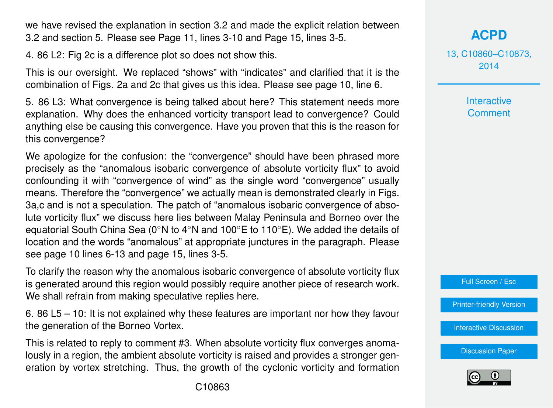we have revised the explanation in section 3.2 and made the explicit relation between 3.2 and section 5. Please see Page 11, lines 3-10 and Page 15, lines 3-5.

4. 86 L2: Fig 2c is a difference plot so does not show this.

This is our oversight. We replaced "shows" with "indicates" and clarified that it is the combination of Figs. 2a and 2c that gives us this idea. Please see page 10, line 6.

5. 86 L3: What convergence is being talked about here? This statement needs more explanation. Why does the enhanced vorticity transport lead to convergence? Could anything else be causing this convergence. Have you proven that this is the reason for this convergence?

We apologize for the confusion: the "convergence" should have been phrased more precisely as the "anomalous isobaric convergence of absolute vorticity flux" to avoid confounding it with "convergence of wind" as the single word "convergence" usually means. Therefore the "convergence" we actually mean is demonstrated clearly in Figs. 3a,c and is not a speculation. The patch of "anomalous isobaric convergence of absolute vorticity flux" we discuss here lies between Malay Peninsula and Borneo over the equatorial South China Sea (0◦N to 4◦N and 100◦E to 110◦E). We added the details of location and the words "anomalous" at appropriate junctures in the paragraph. Please see page 10 lines 6-13 and page 15, lines 3-5.

To clarify the reason why the anomalous isobaric convergence of absolute vorticity flux is generated around this region would possibly require another piece of research work. We shall refrain from making speculative replies here.

6. 86 L5 – 10: It is not explained why these features are important nor how they favour the generation of the Borneo Vortex.

This is related to reply to comment #3. When absolute vorticity flux converges anomalously in a region, the ambient absolute vorticity is raised and provides a stronger generation by vortex stretching. Thus, the growth of the cyclonic vorticity and formation **[ACPD](http://www.atmos-chem-phys-discuss.net)**

13, C10860–C10873, 2014

> **Interactive Comment**

Full Screen / Esc

[Printer-friendly Version](http://www.atmos-chem-phys-discuss.net/13/C10860/2014/acpd-13-C10860-2014-print.pdf)

[Interactive Discussion](http://www.atmos-chem-phys-discuss.net/13/21079/2013/acpd-13-21079-2013-discussion.html)

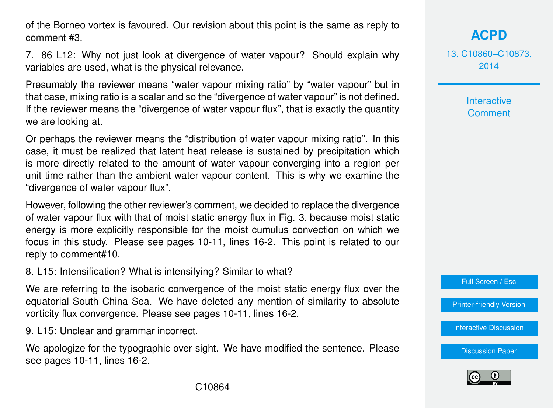of the Borneo vortex is favoured. Our revision about this point is the same as reply to comment #3.

7. 86 L12: Why not just look at divergence of water vapour? Should explain why variables are used, what is the physical relevance.

Presumably the reviewer means "water vapour mixing ratio" by "water vapour" but in that case, mixing ratio is a scalar and so the "divergence of water vapour" is not defined. If the reviewer means the "divergence of water vapour flux", that is exactly the quantity we are looking at.

Or perhaps the reviewer means the "distribution of water vapour mixing ratio". In this case, it must be realized that latent heat release is sustained by precipitation which is more directly related to the amount of water vapour converging into a region per unit time rather than the ambient water vapour content. This is why we examine the "divergence of water vapour flux".

However, following the other reviewer's comment, we decided to replace the divergence of water vapour flux with that of moist static energy flux in Fig. 3, because moist static energy is more explicitly responsible for the moist cumulus convection on which we focus in this study. Please see pages 10-11, lines 16-2. This point is related to our reply to comment#10.

8. L15: Intensification? What is intensifying? Similar to what?

We are referring to the isobaric convergence of the moist static energy flux over the equatorial South China Sea. We have deleted any mention of similarity to absolute vorticity flux convergence. Please see pages 10-11, lines 16-2.

9. L15: Unclear and grammar incorrect.

We apologize for the typographic over sight. We have modified the sentence. Please see pages 10-11, lines 16-2.

**[ACPD](http://www.atmos-chem-phys-discuss.net)**

13, C10860–C10873, 2014

> Interactive **Comment**

Full Screen / Esc

[Printer-friendly Version](http://www.atmos-chem-phys-discuss.net/13/C10860/2014/acpd-13-C10860-2014-print.pdf)

[Interactive Discussion](http://www.atmos-chem-phys-discuss.net/13/21079/2013/acpd-13-21079-2013-discussion.html)

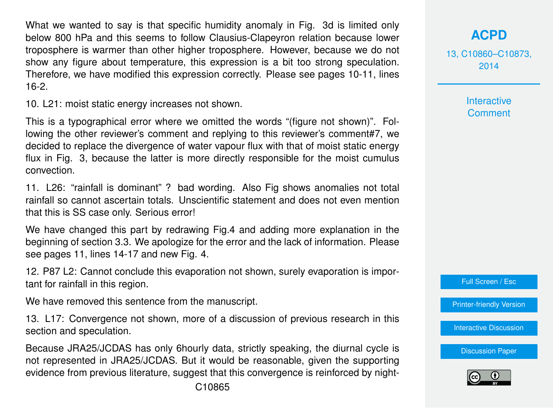What we wanted to say is that specific humidity anomaly in Fig. 3d is limited only below 800 hPa and this seems to follow Clausius-Clapeyron relation because lower troposphere is warmer than other higher troposphere. However, because we do not show any figure about temperature, this expression is a bit too strong speculation. Therefore, we have modified this expression correctly. Please see pages 10-11, lines 16-2.

10. L21: moist static energy increases not shown.

This is a typographical error where we omitted the words "(figure not shown)". Following the other reviewer's comment and replying to this reviewer's comment#7, we decided to replace the divergence of water vapour flux with that of moist static energy flux in Fig. 3, because the latter is more directly responsible for the moist cumulus convection.

11. L26: "rainfall is dominant" ? bad wording. Also Fig shows anomalies not total rainfall so cannot ascertain totals. Unscientific statement and does not even mention that this is SS case only. Serious error!

We have changed this part by redrawing Fig.4 and adding more explanation in the beginning of section 3.3. We apologize for the error and the lack of information. Please see pages 11, lines 14-17 and new Fig. 4.

12. P87 L2: Cannot conclude this evaporation not shown, surely evaporation is important for rainfall in this region.

We have removed this sentence from the manuscript.

13. L17: Convergence not shown, more of a discussion of previous research in this section and speculation.

Because JRA25/JCDAS has only 6hourly data, strictly speaking, the diurnal cycle is not represented in JRA25/JCDAS. But it would be reasonable, given the supporting evidence from previous literature, suggest that this convergence is reinforced by night**[ACPD](http://www.atmos-chem-phys-discuss.net)**

13, C10860–C10873, 2014

**Interactive** 

Full Screen / Esc

[Printer-friendly Version](http://www.atmos-chem-phys-discuss.net/13/C10860/2014/acpd-13-C10860-2014-print.pdf)

[Interactive Discussion](http://www.atmos-chem-phys-discuss.net/13/21079/2013/acpd-13-21079-2013-discussion.html)

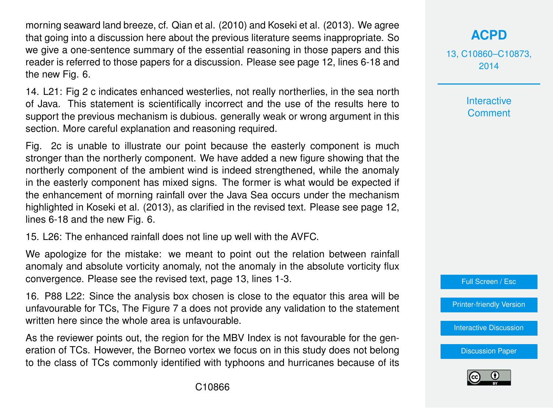morning seaward land breeze, cf. Qian et al. (2010) and Koseki et al. (2013). We agree that going into a discussion here about the previous literature seems inappropriate. So we give a one-sentence summary of the essential reasoning in those papers and this reader is referred to those papers for a discussion. Please see page 12, lines 6-18 and the new Fig. 6.

14. L21: Fig 2 c indicates enhanced westerlies, not really northerlies, in the sea north of Java. This statement is scientifically incorrect and the use of the results here to support the previous mechanism is dubious. generally weak or wrong argument in this section. More careful explanation and reasoning required.

Fig. 2c is unable to illustrate our point because the easterly component is much stronger than the northerly component. We have added a new figure showing that the northerly component of the ambient wind is indeed strengthened, while the anomaly in the easterly component has mixed signs. The former is what would be expected if the enhancement of morning rainfall over the Java Sea occurs under the mechanism highlighted in Koseki et al. (2013), as clarified in the revised text. Please see page 12, lines 6-18 and the new Fig. 6.

15. L26: The enhanced rainfall does not line up well with the AVFC.

We apologize for the mistake: we meant to point out the relation between rainfall anomaly and absolute vorticity anomaly, not the anomaly in the absolute vorticity flux convergence. Please see the revised text, page 13, lines 1-3.

16. P88 L22: Since the analysis box chosen is close to the equator this area will be unfavourable for TCs, The Figure 7 a does not provide any validation to the statement written here since the whole area is unfavourable.

As the reviewer points out, the region for the MBV Index is not favourable for the generation of TCs. However, the Borneo vortex we focus on in this study does not belong to the class of TCs commonly identified with typhoons and hurricanes because of its

# **[ACPD](http://www.atmos-chem-phys-discuss.net)**

13, C10860–C10873, 2014

> **Interactive Comment**



[Printer-friendly Version](http://www.atmos-chem-phys-discuss.net/13/C10860/2014/acpd-13-C10860-2014-print.pdf)

[Interactive Discussion](http://www.atmos-chem-phys-discuss.net/13/21079/2013/acpd-13-21079-2013-discussion.html)

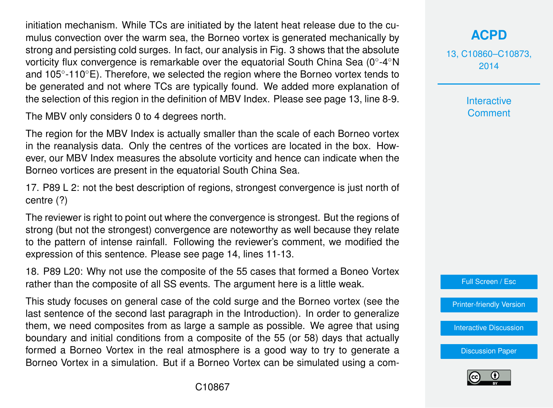initiation mechanism. While TCs are initiated by the latent heat release due to the cumulus convection over the warm sea, the Borneo vortex is generated mechanically by strong and persisting cold surges. In fact, our analysis in Fig. 3 shows that the absolute vorticity flux convergence is remarkable over the equatorial South China Sea (0°-4°N and 105◦ -110◦E). Therefore, we selected the region where the Borneo vortex tends to be generated and not where TCs are typically found. We added more explanation of the selection of this region in the definition of MBV Index. Please see page 13, line 8-9.

The MBV only considers 0 to 4 degrees north.

The region for the MBV Index is actually smaller than the scale of each Borneo vortex in the reanalysis data. Only the centres of the vortices are located in the box. However, our MBV Index measures the absolute vorticity and hence can indicate when the Borneo vortices are present in the equatorial South China Sea.

17. P89 L 2: not the best description of regions, strongest convergence is just north of centre (?)

The reviewer is right to point out where the convergence is strongest. But the regions of strong (but not the strongest) convergence are noteworthy as well because they relate to the pattern of intense rainfall. Following the reviewer's comment, we modified the expression of this sentence. Please see page 14, lines 11-13.

18. P89 L20: Why not use the composite of the 55 cases that formed a Boneo Vortex rather than the composite of all SS events. The argument here is a little weak.

This study focuses on general case of the cold surge and the Borneo vortex (see the last sentence of the second last paragraph in the Introduction). In order to generalize them, we need composites from as large a sample as possible. We agree that using boundary and initial conditions from a composite of the 55 (or 58) days that actually formed a Borneo Vortex in the real atmosphere is a good way to try to generate a Borneo Vortex in a simulation. But if a Borneo Vortex can be simulated using a com**[ACPD](http://www.atmos-chem-phys-discuss.net)**

13, C10860–C10873, 2014

> Interactive **Comment**



[Printer-friendly Version](http://www.atmos-chem-phys-discuss.net/13/C10860/2014/acpd-13-C10860-2014-print.pdf)

[Interactive Discussion](http://www.atmos-chem-phys-discuss.net/13/21079/2013/acpd-13-21079-2013-discussion.html)

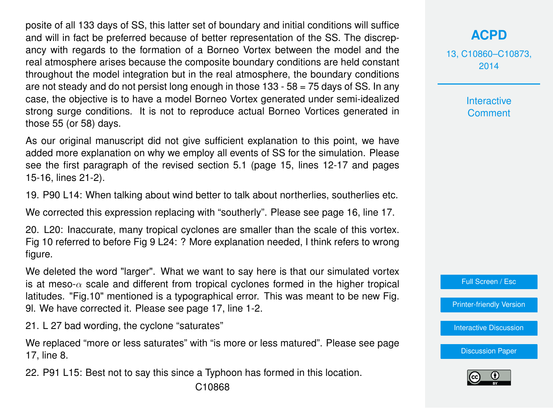posite of all 133 days of SS, this latter set of boundary and initial conditions will suffice and will in fact be preferred because of better representation of the SS. The discrepancy with regards to the formation of a Borneo Vortex between the model and the real atmosphere arises because the composite boundary conditions are held constant throughout the model integration but in the real atmosphere, the boundary conditions are not steady and do not persist long enough in those  $133 - 58 = 75$  days of SS. In any case, the objective is to have a model Borneo Vortex generated under semi-idealized strong surge conditions. It is not to reproduce actual Borneo Vortices generated in those 55 (or 58) days.

As our original manuscript did not give sufficient explanation to this point, we have added more explanation on why we employ all events of SS for the simulation. Please see the first paragraph of the revised section 5.1 (page 15, lines 12-17 and pages 15-16, lines 21-2).

19. P90 L14: When talking about wind better to talk about northerlies, southerlies etc.

We corrected this expression replacing with "southerly". Please see page 16, line 17.

20. L20: Inaccurate, many tropical cyclones are smaller than the scale of this vortex. Fig 10 referred to before Fig 9 L24: ? More explanation needed, I think refers to wrong figure.

We deleted the word "larger". What we want to say here is that our simulated vortex is at meso- $\alpha$  scale and different from tropical cyclones formed in the higher tropical latitudes. "Fig.10" mentioned is a typographical error. This was meant to be new Fig. 9l. We have corrected it. Please see page 17, line 1-2.

21. L 27 bad wording, the cyclone "saturates"

We replaced "more or less saturates" with "is more or less matured". Please see page 17, line 8.

22. P91 L15: Best not to say this since a Typhoon has formed in this location.

13, C10860–C10873, 2014

> Interactive **Comment**

Full Screen / Esc

[Printer-friendly Version](http://www.atmos-chem-phys-discuss.net/13/C10860/2014/acpd-13-C10860-2014-print.pdf)

[Interactive Discussion](http://www.atmos-chem-phys-discuss.net/13/21079/2013/acpd-13-21079-2013-discussion.html)

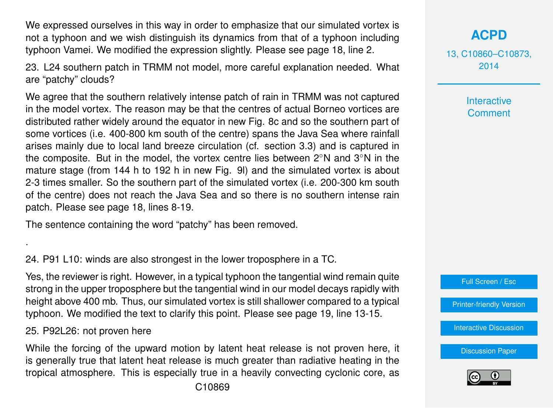We expressed ourselves in this way in order to emphasize that our simulated vortex is not a typhoon and we wish distinguish its dynamics from that of a typhoon including typhoon Vamei. We modified the expression slightly. Please see page 18, line 2.

23. L24 southern patch in TRMM not model, more careful explanation needed. What are "patchy" clouds?

We agree that the southern relatively intense patch of rain in TRMM was not captured in the model vortex. The reason may be that the centres of actual Borneo vortices are distributed rather widely around the equator in new Fig. 8c and so the southern part of some vortices (i.e. 400-800 km south of the centre) spans the Java Sea where rainfall arises mainly due to local land breeze circulation (cf. section 3.3) and is captured in the composite. But in the model, the vortex centre lies between 2◦N and 3◦N in the mature stage (from 144 h to 192 h in new Fig. 9l) and the simulated vortex is about 2-3 times smaller. So the southern part of the simulated vortex (i.e. 200-300 km south of the centre) does not reach the Java Sea and so there is no southern intense rain patch. Please see page 18, lines 8-19.

The sentence containing the word "patchy" has been removed.

24. P91 L10: winds are also strongest in the lower troposphere in a TC.

Yes, the reviewer is right. However, in a typical typhoon the tangential wind remain quite strong in the upper troposphere but the tangential wind in our model decays rapidly with height above 400 mb. Thus, our simulated vortex is still shallower compared to a typical typhoon. We modified the text to clarify this point. Please see page 19, line 13-15.

#### 25. P92L26: not proven here

.

While the forcing of the upward motion by latent heat release is not proven here, it is generally true that latent heat release is much greater than radiative heating in the tropical atmosphere. This is especially true in a heavily convecting cyclonic core, as

# **[ACPD](http://www.atmos-chem-phys-discuss.net)**

13, C10860–C10873, 2014

> Interactive **Comment**



[Printer-friendly Version](http://www.atmos-chem-phys-discuss.net/13/C10860/2014/acpd-13-C10860-2014-print.pdf)

[Interactive Discussion](http://www.atmos-chem-phys-discuss.net/13/21079/2013/acpd-13-21079-2013-discussion.html)

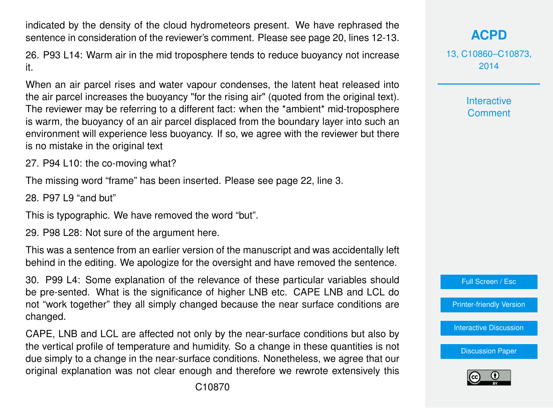indicated by the density of the cloud hydrometeors present. We have rephrased the sentence in consideration of the reviewer's comment. Please see page 20, lines 12-13.

26. P93 L14: Warm air in the mid troposphere tends to reduce buoyancy not increase it.

When an air parcel rises and water vapour condenses, the latent heat released into the air parcel increases the buoyancy "for the rising air" (quoted from the original text). The reviewer may be referring to a different fact: when the \*ambient\* mid-troposphere is warm, the buoyancy of an air parcel displaced from the boundary layer into such an environment will experience less buoyancy. If so, we agree with the reviewer but there is no mistake in the original text

27. P94 L10: the co-moving what?

The missing word "frame" has been inserted. Please see page 22, line 3.

28. P97 L9 "and but"

This is typographic. We have removed the word "but".

29. P98 L28: Not sure of the argument here.

This was a sentence from an earlier version of the manuscript and was accidentally left behind in the editing. We apologize for the oversight and have removed the sentence.

30. P99 L4: Some explanation of the relevance of these particular variables should be pre-sented. What is the significance of higher LNB etc. CAPE LNB and LCL do not "work together" they all simply changed because the near surface conditions are changed.

CAPE, LNB and LCL are affected not only by the near-surface conditions but also by the vertical profile of temperature and humidity. So a change in these quantities is not due simply to a change in the near-surface conditions. Nonetheless, we agree that our original explanation was not clear enough and therefore we rewrote extensively this

C10870

# **[ACPD](http://www.atmos-chem-phys-discuss.net)**

13, C10860–C10873, 2014

> Interactive **Comment**



[Printer-friendly Version](http://www.atmos-chem-phys-discuss.net/13/C10860/2014/acpd-13-C10860-2014-print.pdf)

[Interactive Discussion](http://www.atmos-chem-phys-discuss.net/13/21079/2013/acpd-13-21079-2013-discussion.html)

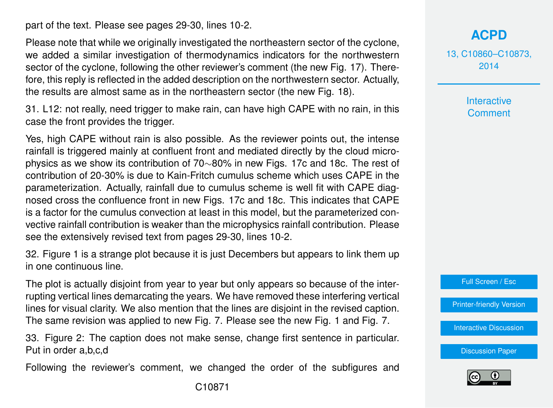part of the text. Please see pages 29-30, lines 10-2.

Please note that while we originally investigated the northeastern sector of the cyclone, we added a similar investigation of thermodynamics indicators for the northwestern sector of the cyclone, following the other reviewer's comment (the new Fig. 17). Therefore, this reply is reflected in the added description on the northwestern sector. Actually, the results are almost same as in the northeastern sector (the new Fig. 18).

31. L12: not really, need trigger to make rain, can have high CAPE with no rain, in this case the front provides the trigger.

Yes, high CAPE without rain is also possible. As the reviewer points out, the intense rainfall is triggered mainly at confluent front and mediated directly by the cloud microphysics as we show its contribution of 70∼80% in new Figs. 17c and 18c. The rest of contribution of 20-30% is due to Kain-Fritch cumulus scheme which uses CAPE in the parameterization. Actually, rainfall due to cumulus scheme is well fit with CAPE diagnosed cross the confluence front in new Figs. 17c and 18c. This indicates that CAPE is a factor for the cumulus convection at least in this model, but the parameterized convective rainfall contribution is weaker than the microphysics rainfall contribution. Please see the extensively revised text from pages 29-30, lines 10-2.

32. Figure 1 is a strange plot because it is just Decembers but appears to link them up in one continuous line.

The plot is actually disjoint from year to year but only appears so because of the interrupting vertical lines demarcating the years. We have removed these interfering vertical lines for visual clarity. We also mention that the lines are disjoint in the revised caption. The same revision was applied to new Fig. 7. Please see the new Fig. 1 and Fig. 7.

33. Figure 2: The caption does not make sense, change first sentence in particular. Put in order a,b,c,d

Following the reviewer's comment, we changed the order of the subfigures and

### **[ACPD](http://www.atmos-chem-phys-discuss.net)**

13, C10860–C10873, 2014

> **Interactive Comment**



[Printer-friendly Version](http://www.atmos-chem-phys-discuss.net/13/C10860/2014/acpd-13-C10860-2014-print.pdf)

[Interactive Discussion](http://www.atmos-chem-phys-discuss.net/13/21079/2013/acpd-13-21079-2013-discussion.html)

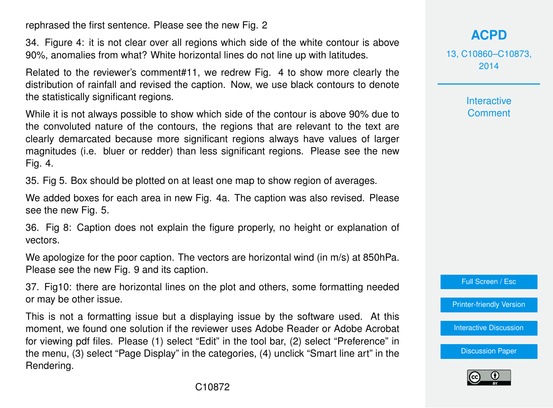rephrased the first sentence. Please see the new Fig. 2

34. Figure 4: it is not clear over all regions which side of the white contour is above 90%, anomalies from what? White horizontal lines do not line up with latitudes.

Related to the reviewer's comment#11, we redrew Fig. 4 to show more clearly the distribution of rainfall and revised the caption. Now, we use black contours to denote the statistically significant regions.

While it is not always possible to show which side of the contour is above 90% due to the convoluted nature of the contours, the regions that are relevant to the text are clearly demarcated because more significant regions always have values of larger magnitudes (i.e. bluer or redder) than less significant regions. Please see the new Fig. 4.

35. Fig 5. Box should be plotted on at least one map to show region of averages.

We added boxes for each area in new Fig. 4a. The caption was also revised. Please see the new Fig. 5.

36. Fig 8: Caption does not explain the figure properly, no height or explanation of vectors.

We apologize for the poor caption. The vectors are horizontal wind (in m/s) at 850hPa. Please see the new Fig. 9 and its caption.

37. Fig10: there are horizontal lines on the plot and others, some formatting needed or may be other issue.

This is not a formatting issue but a displaying issue by the software used. At this moment, we found one solution if the reviewer uses Adobe Reader or Adobe Acrobat for viewing pdf files. Please (1) select "Edit" in the tool bar, (2) select "Preference" in the menu, (3) select "Page Display" in the categories, (4) unclick "Smart line art" in the Rendering.

13, C10860–C10873, 2014

> **Interactive Comment**

Full Screen / Esc

[Printer-friendly Version](http://www.atmos-chem-phys-discuss.net/13/C10860/2014/acpd-13-C10860-2014-print.pdf)

[Interactive Discussion](http://www.atmos-chem-phys-discuss.net/13/21079/2013/acpd-13-21079-2013-discussion.html)